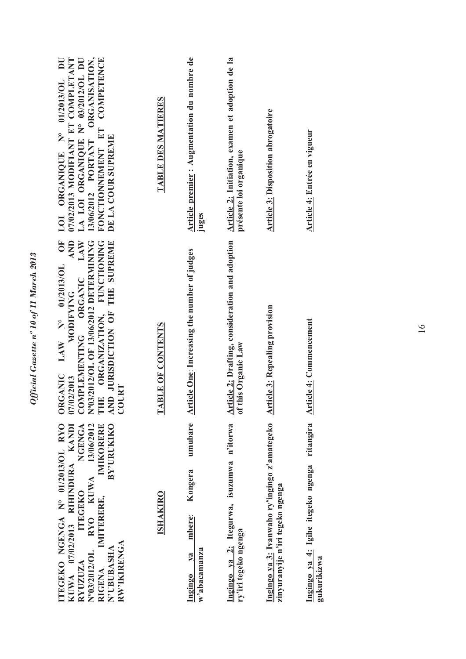| ORGANISATION,<br>LA LOI ORGANIQUE Nº 03/2012/OL DU<br>FONCTIONNEMENT ET COMPETENCE<br>07/02/2013 MODIFIANT ET COMPLETANT<br>LOI ORGANIQUE N° 01/2013/OL DU<br>DE LA COUR SUPREME<br>13/06/2012 PORTANT                                                    | TABLE DES MATIERES | Article premier : Augmentation du nombre de<br>juges            | Article 2: Initiation, examen et adoption de la<br>présente loi organique            | <b>Article 3: Disposition abrogatoire</b>                                         | Article 4: Entrée en vigueur                                   |
|-----------------------------------------------------------------------------------------------------------------------------------------------------------------------------------------------------------------------------------------------------------|--------------------|-----------------------------------------------------------------|--------------------------------------------------------------------------------------|-----------------------------------------------------------------------------------|----------------------------------------------------------------|
| 5<br>AND<br>LAW<br>N°03/2012/OL OF 13/06/2012 DETERMINING<br><b>FUNCTIONING</b><br>AND JURISDICTION OF THE SUPREME<br>ORGANIC LAW Nº 01/2013/OL<br>COMPLEMENTING ORGANIC<br><b>MODIFYING</b><br>THE ORGANIZATION,<br>07/02/2013<br>COURT                  | TABLE OF CONTENTS  | <b>Article One: Increasing the number of judges</b>             | Article 2: Drafting, consideration and adoption<br>this Organic Law<br>$\frac{1}{2}$ | <b>Article 3: Repealing provision</b>                                             | ticle 4: Commencement<br>$\frac{\Delta r}{4}$                  |
| ITEGEKO NGENGA Nº 01/2013/OL RYO<br>KUWA 13/06/2012<br><b>BY'URUKIKO</b><br>KUWA 07/02/2013 RIHINDURA KANDI<br>NGENGA<br>IMIKORERE<br><b>ITEGEKO</b><br>IMITERERE,<br><b>RYO</b><br>N°03/2012/OL<br>RW'IKIRENGA<br>N'UBUBASHA<br>RYUZUZA<br><b>RIGENA</b> | <b>ISHAKIRO</b>    | umubare<br>Kongera<br>mbere:<br>w'abacamanza<br>$va$<br>Ingingo | Ingingo ya 2: Itegurwa, isuzumwa n'itorwa<br>ry'iri tegeko ngenga                    | Ingingo ya 3: Ivanwaho ry'ingingo z'amategeko<br>zinyuranyije n'iri tegeko ngenga | ritangira<br>Ingingo ya 4: Igihe itegeko ngenga<br>gukurikizwa |

*Official Gazette nº 10 of 11 March 2013* 

Official Gazette nº 10 of 11 March 2013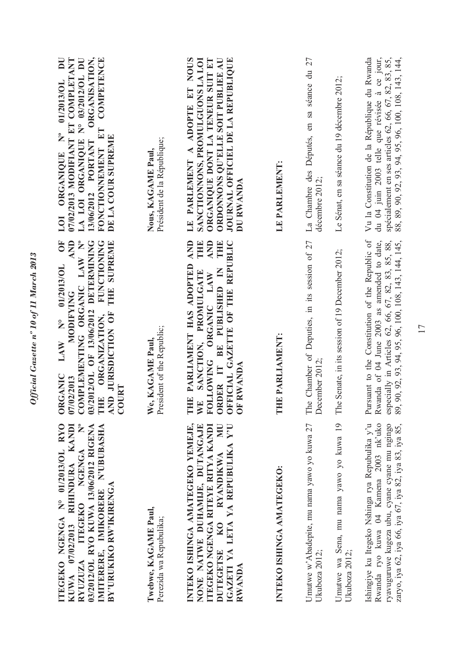| ITEGEKO NGENGA Nº 01/2013/OL RYO<br>ITEGEKO NGENGA N°<br>KANDI<br>03/2012/OL RYO KUWA 13/06/2012 RIGENA<br>IMITERERE, IMIKORERE N'UBUBASHA<br>07/02/2013 RIHINDURA<br>BY'URUKIKO RW'IKIRENGA<br>RYUZUZA<br><b>KUWA</b> | COMPLEMENTING ORGANIC LAW Nº<br>AND<br>ŌF<br>03/2012/OL OF 13/06/2012 DETERMINING<br><b>FUNCTIONING</b><br>THE SUPREME<br>01/2013/OL<br><b>MODIFYING</b><br>THE ORGANIZATION, AND JURISDICTION OF<br>$\sum_{i=1}^{n}$<br>LAW<br><b>ORGANIC</b><br>07/02/2013<br><b>COURT</b> | ORGANISATION,<br>COMPETENCE<br>LA LOI ORGANIQUE Nº 03/2012/OL DU<br>$\overline{\mathbf{D}}$<br>07/02/2013 MODIFIANT ET COMPLETANT<br>01/2013/OL<br>FONCTIONNEMENT ET<br>$\sum_{i=1}^{n}$<br>DE LA COUR SUPREME<br>13/06/2012 PORTANT<br>ORGANIQUE<br>LOI |
|------------------------------------------------------------------------------------------------------------------------------------------------------------------------------------------------------------------------|------------------------------------------------------------------------------------------------------------------------------------------------------------------------------------------------------------------------------------------------------------------------------|----------------------------------------------------------------------------------------------------------------------------------------------------------------------------------------------------------------------------------------------------------|
| Twebwe, KAGAME Paul,<br>Perezida wa Repubulika;                                                                                                                                                                        | President of the Republic;<br>We, KAGAME Paul                                                                                                                                                                                                                                | Président de la République;<br>Nous, KAGAME Paul,                                                                                                                                                                                                        |
| INTEKO ISHINGA AMATEGEKO YEMEJE,<br><b>NN</b><br>IGAZETI YA LETA YA REPUBULIKA Y'U<br>NONE NATWE DUHAMIJE, DUTANGAJE<br>ITEGEKO NGENGA RITEYE RITYA KANDI<br>DUTEGETSE KO RYANDIKWA<br>RWANDA                          | AND<br><b>AND</b><br>THE<br>OFFICIAL GAZETTE OF THE REPUBLIC<br>THE<br>THE PARLIAMENT HAS ADOPTED<br>ORDER IT BE PUBLISHED IN<br>WE SANCTION, PROMULGATE<br>FOLLOWING ORGANIC LAW<br>OF RWANDA                                                                               | ORDONNONS QU'ELLE SOIT PUBLIEE AU<br>ORGANIQUE DONT LA TENEUR SUIT ET<br>LE PARLEMENT A ADOPTE ET NOUS<br>SANCTIONNONS, PROMULGUONS LA LOI<br>JOURNAL OFFICIEL DE LA REPUBLIQUE<br>DU RWANDA                                                             |
| INTEKO ISHINGA AMATEGEKO:                                                                                                                                                                                              | THE PARLIAMENT:                                                                                                                                                                                                                                                              | LE PARLEMENT:                                                                                                                                                                                                                                            |
| Umutwe w'Abadepite, mu nama yawo yo kuwa 27<br>Ukuboza 2012;                                                                                                                                                           | The Chamber of Deputies, in its session of 27<br>December 2012;                                                                                                                                                                                                              | La Chambre des Députés, en sa séance du 27<br>décembre 2012;                                                                                                                                                                                             |
| Umutwe wa Sena, mu nama yawo yo kuwa 19<br>Ukuboza 2012;                                                                                                                                                               | The Senate, in its session of 19 December 2012;                                                                                                                                                                                                                              | Le Sénat, en sa séance du 19 décembre 2012;                                                                                                                                                                                                              |
| Ishingiye ku Itegeko Nshinga rya Repubulika y'u<br>Rwanda ryo kuwa 04 Kamena 2003 nk'uko<br>ryavuguruwe kugeza ubu, cyane cyane mu ngingo<br>zaryo, iya 62, iya 66, iya 67, iya 82, iya 83, iya 85,                    | Pursuant to the Constitution of the Republic of<br>Rwanda of 04 June 2003 as amended to date,<br>especially in Articles 62, 66, 67, 82, 83, 85, 88,<br>89, 90, 92, 93, 94, 95, 96, 100, 108, 143, 144, 145,                                                                  | spécialement en ses articles 62, 66, 67, 82, 83, 85,<br>Vu la Constitution de la République du Rwanda<br>du 04 juin 2003 telle que révisée à ce jour,<br>88, 89, 90, 92, 93, 94, 95, 96, 100, 108, 143, 144,                                             |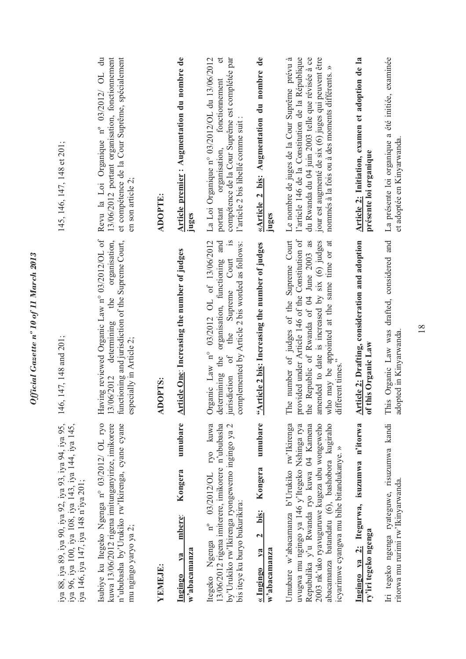| iya 88, iya 89, iya 90, iya 92, iya 93, iya 94, iya 95,<br>iya 96, iya 100, iya 108, iya 143, iya 144, iya 145,<br>iya 146, iya 147, iya 148 n'iya 201;                                                                                                                             | 146, 147, 148 and 201;                                                                                                                                                                                                                                               | 145, 146, 147, 148 et 201;                                                                                                                                                                                                                                       |
|-------------------------------------------------------------------------------------------------------------------------------------------------------------------------------------------------------------------------------------------------------------------------------------|----------------------------------------------------------------------------------------------------------------------------------------------------------------------------------------------------------------------------------------------------------------------|------------------------------------------------------------------------------------------------------------------------------------------------------------------------------------------------------------------------------------------------------------------|
| Isubiye ku Itegeko Ngenga n° 03/2012/ OL ryo<br>kuwa 13/06/2012 rigena imitunganyirize, imikorere<br>n'ububasha by'Urukiko rw'Ikirenga, cyane cyane<br>mu ngingo yaryo ya 2;                                                                                                        | Having reviewed Organic Law nº 03/2012/OL of<br>functioning and jurisdiction of the Supreme Court,<br>organisation,<br>the<br>determining<br>especially in Article 2;<br>13/06/2012                                                                                  | et compétence de la Cour Suprême, spécialement<br>$\ddot{a}$<br>13/06/2012 portant organisation, fonctionnement<br>Revu la Loi Organique nº 03/2012/ OL<br>en son article 2;                                                                                     |
| YEMEJE:                                                                                                                                                                                                                                                                             | <b>ADOPTS:</b>                                                                                                                                                                                                                                                       | <b>ADOPTE:</b>                                                                                                                                                                                                                                                   |
| umubare<br>Kongera<br>mbere:<br>w'abacamanza<br>$1$<br>Ingingo                                                                                                                                                                                                                      | <b>Article One: Increasing the number of judges</b>                                                                                                                                                                                                                  | Article premier : Augmentation du nombre de<br>juges                                                                                                                                                                                                             |
| Itegeko Ngenga nº 03/2012/OL ryo kuwa<br>13/06/2012 rigena imiterere, imikorere n'ububasha<br>by'Urukiko rw'Ikirenga ryongewemo ingingo ya 2<br>bis iteye ku buryo bukurikira:                                                                                                      | Organic Law n° 03/2012 OL of 13/06/2012<br>organisation, functioning and<br>$\frac{1}{s}$<br>complemented by Article 2 bis worded as follows:<br>the Supreme Court<br>the<br>$\circ$ f<br>determining<br>jurisdiction                                                | La Loi Organique nº 03/2012/OL du 13/06/2012<br>đ<br>compétence de la Cour Suprême est complétée par<br>fonctionnement<br>l'article 2 bis libellé comme suit :<br>organisation,<br>portant                                                                       |
| umubare<br>Kongera<br>bis:<br>$\mathbf{c}$<br>V2<br>$w$ 'abacamanza<br>« Ingingo                                                                                                                                                                                                    | "Article 2 bis: Increasing the number of judges                                                                                                                                                                                                                      | «Article 2 bis: Augmentation du nombre de<br>juges                                                                                                                                                                                                               |
| Umubare w'abacamanza b'Urukiko rw'Ikirenga<br>2003 nk'uko ryavuguruwe kugeza ubu wongeweho<br>abacamanza batandatu (6), bashobora kugiraho<br>Repubulika y'u Rwanda ryo kuwa 04 Kamena<br>uvugwa mu ngingo ya 146 y'Itegeko Nshinga rya<br>icyarimwe cyangwa mu bihe bitandukanye.» | number of judges of the Supreme Court<br>provided under Article 146 of the Constitution of<br>the Republic of Rwanda of 04 June 2003 as<br>amended to date is increased by six (6) judges<br>who may be appointed at the same time or at<br>different times."<br>The | l'article 146 de la Constitution de la République<br>du Rwanda du 04 juin 2003 telle que révisée à ce<br>jour est augmenté de six (6) juges qui peuvent être<br>Le nombre de juges de la Cour Suprême prévu à<br>nommés à la fois ou à des moments différents. » |
| Ingingo ya 2: Itegurwa, isuzumwa n'itorwa<br>ry'iri tegeko ngenga                                                                                                                                                                                                                   | Article 2: Drafting, consideration and adoption<br>of this Organic Law                                                                                                                                                                                               | Article 2: Initiation, examen et adoption de la<br>présente loi organique                                                                                                                                                                                        |
| Iri tegeko ngenga ryateguwe, risuzumwa kandi<br>ritorwa mu rurimi rw'Ikinyarwanda.                                                                                                                                                                                                  | This Organic Law was drafted, considered and<br>adopted in Kinyarwanda.                                                                                                                                                                                              | La présente loi organique a été initiée, examinée<br>et adoptée en Kinyarwanda.                                                                                                                                                                                  |

*Official Gazette nº 10 of 11 March 2013* 

Official Gazette nº 10 of 11 March 2013